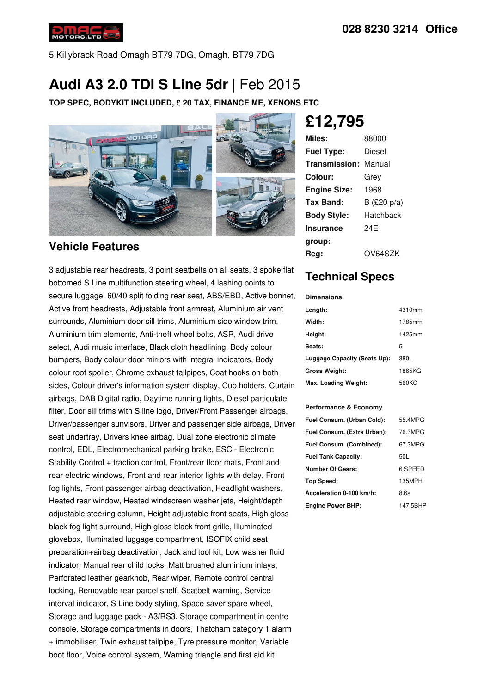

5 Killybrack Road Omagh BT79 7DG, Omagh, BT79 7DG

# **Audi A3 2.0 TDI S Line 5dr** |Feb 2015

**TOP SPEC, BODYKIT INCLUDED, £ 20 TAX, FINANCE ME, XENONS ETC**



#### **Vehicle Features**

3 adjustable rear headrests, 3 point seatbelts on all seats, 3 spoke flat bottomed S Line multifunction steering wheel, 4 lashing points to secure luggage, 60/40 split folding rear seat, ABS/EBD, Active bonnet, Active front headrests, Adjustable front armrest, Aluminium air vent surrounds, Aluminium door sill trims, Aluminium side window trim, Aluminium trim elements, Anti-theft wheel bolts, ASR, Audi drive select, Audi music interface, Black cloth headlining, Body colour bumpers, Body colour door mirrors with integral indicators, Body colour roof spoiler, Chrome exhaust tailpipes, Coat hooks on both sides, Colour driver's information system display, Cup holders, Curtain airbags, DAB Digital radio, Daytime running lights, Diesel particulate filter, Door sill trims with S line logo, Driver/Front Passenger airbags, Driver/passenger sunvisors, Driver and passenger side airbags, Driver seat undertray, Drivers knee airbag, Dual zone electronic climate control, EDL, Electromechanical parking brake, ESC - Electronic Stability Control + traction control, Front/rear floor mats, Front and rear electric windows, Front and rear interior lights with delay, Front fog lights, Front passenger airbag deactivation, Headlight washers, Heated rear window, Heated windscreen washer jets, Height/depth adjustable steering column, Height adjustable front seats, High gloss black fog light surround, High gloss black front grille, Illuminated glovebox, Illuminated luggage compartment, ISOFIX child seat preparation+airbag deactivation, Jack and tool kit, Low washer fluid indicator, Manual rear child locks, Matt brushed aluminium inlays, Perforated leather gearknob, Rear wiper, Remote control central locking, Removable rear parcel shelf, Seatbelt warning, Service interval indicator, S Line body styling, Space saver spare wheel, Storage and luggage pack - A3/RS3, Storage compartment in centre console, Storage compartments in doors, Thatcham category 1 alarm + immobiliser, Twin exhaust tailpipe, Tyre pressure monitor, Variable boot floor, Voice control system, Warning triangle and first aid kit

**£12,795**

| Miles:              | 88000       |
|---------------------|-------------|
| <b>Fuel Type:</b>   | Diesel      |
| Transmission:       | Manual      |
| Colour:             | Grey        |
| <b>Engine Size:</b> | 1968        |
| Tax Band:           | B (£20 p/a) |
| <b>Body Style:</b>  | Hatchback   |
| <b>Insurance</b>    | 24F         |
| group:              |             |
| Rea:                | OV64SZK     |

## **Technical Specs**

**Dimensions**

| Length:                      | 4310mm |
|------------------------------|--------|
| Width:                       | 1785mm |
| Height:                      | 1425mm |
| Seats:                       | 5      |
| Luggage Capacity (Seats Up): | 380L   |
| <b>Gross Weight:</b>         | 1865KG |
| Max. Loading Weight:         | 560KG  |

#### **Performance & Economy**

| Fuel Consum. (Urban Cold):  | 55.4MPG  |
|-----------------------------|----------|
| Fuel Consum. (Extra Urban): | 76.3MPG  |
| Fuel Consum. (Combined):    | 67.3MPG  |
| <b>Fuel Tank Capacity:</b>  | 50L      |
| <b>Number Of Gears:</b>     | 6 SPEED  |
| Top Speed:                  | 135MPH   |
| Acceleration 0-100 km/h:    | 8.6s     |
| <b>Engine Power BHP:</b>    | 147.5BHP |